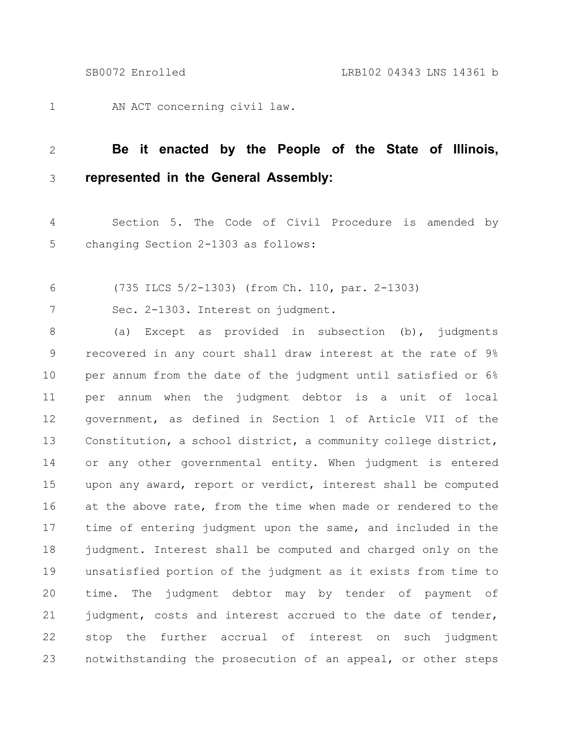AN ACT concerning civil law. 1

## **Be it enacted by the People of the State of Illinois, represented in the General Assembly:** 2 3

Section 5. The Code of Civil Procedure is amended by changing Section 2-1303 as follows: 4 5

(735 ILCS 5/2-1303) (from Ch. 110, par. 2-1303) 6

Sec. 2-1303. Interest on judgment. 7

(a) Except as provided in subsection (b), judgments recovered in any court shall draw interest at the rate of 9% per annum from the date of the judgment until satisfied or 6% per annum when the judgment debtor is a unit of local government, as defined in Section 1 of Article VII of the Constitution, a school district, a community college district, or any other governmental entity. When judgment is entered upon any award, report or verdict, interest shall be computed at the above rate, from the time when made or rendered to the time of entering judgment upon the same, and included in the judgment. Interest shall be computed and charged only on the unsatisfied portion of the judgment as it exists from time to time. The judgment debtor may by tender of payment of judgment, costs and interest accrued to the date of tender, stop the further accrual of interest on such judgment notwithstanding the prosecution of an appeal, or other steps 8 9 10 11 12 13 14 15 16 17 18 19 20 21 22 23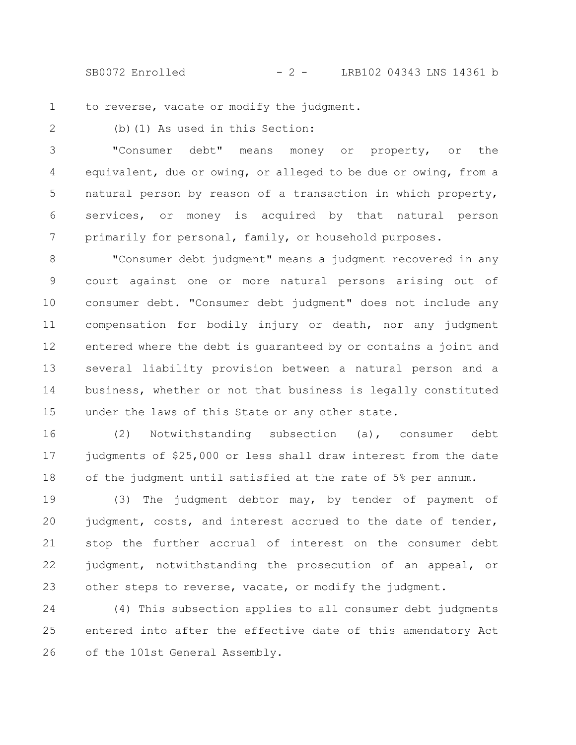SB0072 Enrolled - 2 - LRB102 04343 LNS 14361 b

to reverse, vacate or modify the judgment. 1

2

(b)(1) As used in this Section:

"Consumer debt" means money or property, or the equivalent, due or owing, or alleged to be due or owing, from a natural person by reason of a transaction in which property, services, or money is acquired by that natural person primarily for personal, family, or household purposes. 3 4 5 6 7

"Consumer debt judgment" means a judgment recovered in any court against one or more natural persons arising out of consumer debt. "Consumer debt judgment" does not include any compensation for bodily injury or death, nor any judgment entered where the debt is guaranteed by or contains a joint and several liability provision between a natural person and a business, whether or not that business is legally constituted under the laws of this State or any other state. 8 9 10 11 12 13 14 15

(2) Notwithstanding subsection (a), consumer debt judgments of \$25,000 or less shall draw interest from the date of the judgment until satisfied at the rate of 5% per annum. 16 17 18

(3) The judgment debtor may, by tender of payment of judgment, costs, and interest accrued to the date of tender, stop the further accrual of interest on the consumer debt judgment, notwithstanding the prosecution of an appeal, or other steps to reverse, vacate, or modify the judgment. 19 20 21 22 23

(4) This subsection applies to all consumer debt judgments entered into after the effective date of this amendatory Act of the 101st General Assembly. 24 25 26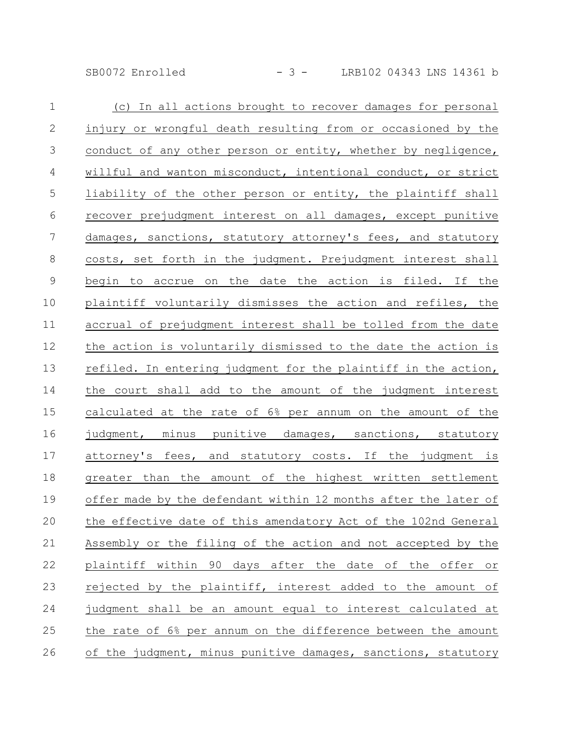SB0072 Enrolled - 3 - LRB102 04343 LNS 14361 b

| $\mathbf{1}$   | (c) In all actions brought to recover damages for personal      |
|----------------|-----------------------------------------------------------------|
| $\mathbf{2}$   | injury or wrongful death resulting from or occasioned by the    |
| $\mathcal{S}$  | conduct of any other person or entity, whether by negligence,   |
| $\overline{4}$ | willful and wanton misconduct, intentional conduct, or strict   |
| 5              | liability of the other person or entity, the plaintiff shall    |
| 6              | recover prejudgment interest on all damages, except punitive    |
| $\overline{7}$ | damages, sanctions, statutory attorney's fees, and statutory    |
| 8              | costs, set forth in the judgment. Prejudgment interest shall    |
| 9              | begin to accrue on the date the action is filed. If the         |
| 10             | plaintiff voluntarily dismisses the action and refiles, the     |
| 11             | accrual of prejudgment interest shall be tolled from the date   |
| 12             | the action is voluntarily dismissed to the date the action is   |
| 13             | refiled. In entering judgment for the plaintiff in the action,  |
| 14             | the court shall add to the amount of the judgment interest      |
| 15             | calculated at the rate of 6% per annum on the amount of the     |
| 16             | judgment, minus punitive damages, sanctions, statutory          |
| 17             | attorney's fees, and statutory costs. If the judgment is        |
| 18             | greater than the amount of the highest written settlement       |
| 19             | offer made by the defendant within 12 months after the later of |
| 20             | the effective date of this amendatory Act of the 102nd General  |
| 21             | Assembly or the filing of the action and not accepted by the    |
| 22             | plaintiff within 90 days after the date of the offer or         |
| 23             | rejected by the plaintiff, interest added to the amount of      |
| 24             | judgment shall be an amount equal to interest calculated at     |
| 25             | the rate of 6% per annum on the difference between the amount   |
| 26             | of the judgment, minus punitive damages, sanctions, statutory   |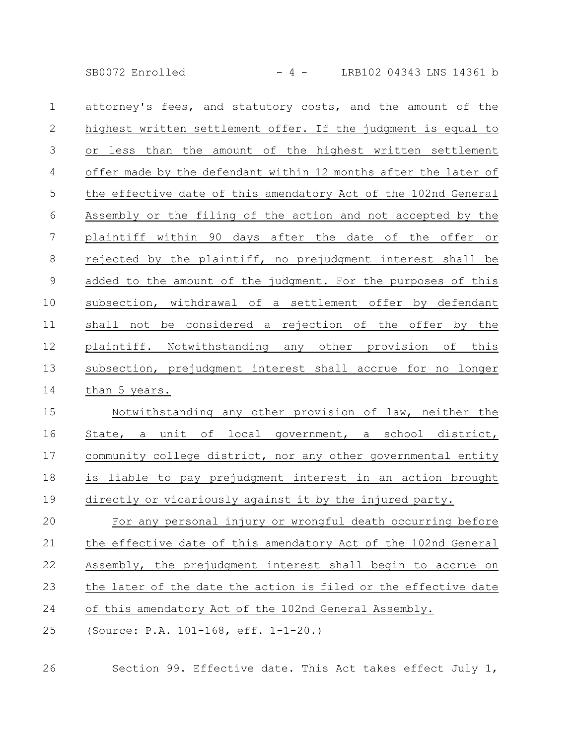SB0072 Enrolled - 4 - LRB102 04343 LNS 14361 b

| $\mathbf{1}$   | attorney's fees, and statutory costs, and the amount of the     |
|----------------|-----------------------------------------------------------------|
| $\mathbf{2}$   | highest written settlement offer. If the judgment is equal to   |
| 3              | or less than the amount of the highest written settlement       |
| 4              | offer made by the defendant within 12 months after the later of |
| 5              | the effective date of this amendatory Act of the 102nd General  |
| 6              | Assembly or the filing of the action and not accepted by the    |
| $\overline{7}$ | plaintiff within 90 days after the date of the offer or         |
| 8              | rejected by the plaintiff, no prejudgment interest shall be     |
| $\mathcal{G}$  | added to the amount of the judgment. For the purposes of this   |
| 10             | subsection, withdrawal of a settlement offer by defendant       |
| 11             | shall not be considered a rejection of the offer by the         |
| 12             | plaintiff. Notwithstanding any other provision of<br>this       |
| 13             | subsection, prejudgment interest shall accrue for no longer     |
| 14             | than 5 years.                                                   |
| 15             | Notwithstanding any other provision of law, neither the         |
| 16             | State, a unit of local government, a school district,           |
| 17             | community college district, nor any other governmental entity   |
| 18             | is liable to pay prejudgment interest in an action brought      |
| 19             | directly or vicariously against it by the injured party.        |
| 20             | For any personal injury or wrongful death occurring before      |
| 21             | the effective date of this amendatory Act of the 102nd General  |
| 22             | Assembly, the prejudgment interest shall begin to accrue on     |
| 23             | the later of the date the action is filed or the effective date |

of this amendatory Act of the 102nd General Assembly. 24

(Source: P.A. 101-168, eff. 1-1-20.) 25

Section 99. Effective date. This Act takes effect July 1, 26